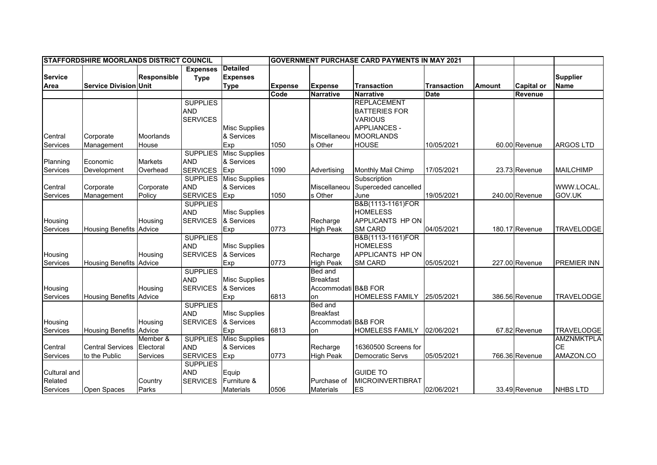|                | <b>STAFFORDSHIRE MOORLANDS DISTRICT COUNCIL</b> |                    |                 |                      |                |                     | <b>GOVERNMENT PURCHASE CARD PAYMENTS IN MAY 2021</b> |                    |               |                   |                    |
|----------------|-------------------------------------------------|--------------------|-----------------|----------------------|----------------|---------------------|------------------------------------------------------|--------------------|---------------|-------------------|--------------------|
|                |                                                 |                    | <b>Expenses</b> | <b>Detailed</b>      |                |                     |                                                      |                    |               |                   |                    |
| <b>Service</b> |                                                 | <b>Responsible</b> | <b>Type</b>     | <b>Expenses</b>      |                |                     |                                                      |                    |               |                   | <b>Supplier</b>    |
| Area           | <b>Service Division Unit</b>                    |                    |                 | <b>Type</b>          | <b>Expense</b> | <b>Expense</b>      | <b>Transaction</b>                                   | <b>Transaction</b> | <b>Amount</b> | <b>Capital or</b> | <b>Name</b>        |
|                |                                                 |                    |                 |                      | Code           | <b>Narrative</b>    | <b>Narrative</b>                                     | <b>Date</b>        |               | Revenue           |                    |
|                |                                                 |                    | <b>SUPPLIES</b> |                      |                |                     | <b>REPLACEMENT</b>                                   |                    |               |                   |                    |
|                |                                                 |                    | <b>AND</b>      |                      |                |                     | <b>BATTERIES FOR</b>                                 |                    |               |                   |                    |
|                |                                                 |                    | <b>SERVICES</b> |                      |                |                     | <b>VARIOUS</b>                                       |                    |               |                   |                    |
|                |                                                 |                    |                 | <b>Misc Supplies</b> |                |                     | <b>APPLIANCES -</b>                                  |                    |               |                   |                    |
| Central        | Corporate                                       | Moorlands          |                 | & Services           |                | Miscellaneou        | <b>MOORLANDS</b>                                     |                    |               |                   |                    |
| Services       | Management                                      | House              |                 | Exp                  | 1050           | s Other             | <b>HOUSE</b>                                         | 10/05/2021         |               | 60.00 Revenue     | <b>ARGOS LTD</b>   |
|                |                                                 |                    | <b>SUPPLIES</b> | <b>Misc Supplies</b> |                |                     |                                                      |                    |               |                   |                    |
| Planning       | Economic                                        | <b>Markets</b>     | <b>AND</b>      | & Services           |                |                     |                                                      |                    |               |                   |                    |
| Services       | Development                                     | Overhead           | <b>SERVICES</b> | Exp                  | 1090           | Advertising         | Monthly Mail Chimp                                   | 17/05/2021         |               | 23.73 Revenue     | <b>MAILCHIMP</b>   |
|                |                                                 |                    | <b>SUPPLIES</b> | <b>Misc Supplies</b> |                |                     | Subscription                                         |                    |               |                   |                    |
| Central        | Corporate                                       | Corporate          | <b>AND</b>      | & Services           |                | Miscellaneou        | Superceded cancelled                                 |                    |               |                   | WWW.LOCAL.         |
| Services       | Management                                      | Policy             | <b>SERVICES</b> | Exp                  | 1050           | s Other             | June                                                 | 19/05/2021         |               | 240.00 Revenue    | GOV.UK             |
|                |                                                 |                    | <b>SUPPLIES</b> |                      |                |                     | B&B(1113-1161)FOR                                    |                    |               |                   |                    |
|                |                                                 |                    | <b>AND</b>      | <b>Misc Supplies</b> |                |                     | <b>HOMELESS</b>                                      |                    |               |                   |                    |
| Housing        |                                                 | Housing            | <b>SERVICES</b> | & Services           |                | Recharge            | APPLICANTS HP ON                                     |                    |               |                   |                    |
| Services       | Housing Benefits Advice                         |                    |                 | Exp                  | 0773           | <b>High Peak</b>    | <b>SM CARD</b>                                       | 04/05/2021         |               | 180.17 Revenue    | <b>TRAVELODGE</b>  |
|                |                                                 |                    | <b>SUPPLIES</b> |                      |                |                     | B&B(1113-1161)FOR                                    |                    |               |                   |                    |
|                |                                                 |                    | <b>AND</b>      | <b>Misc Supplies</b> |                |                     | <b>HOMELESS</b>                                      |                    |               |                   |                    |
| Housing        |                                                 | Housing            | <b>SERVICES</b> | & Services           |                | Recharge            | APPLICANTS HP ON                                     |                    |               |                   |                    |
| Services       | Housing Benefits Advice                         |                    |                 | Exp                  | 0773           | <b>High Peak</b>    | SM CARD                                              | 05/05/2021         |               | 227.00 Revenue    | <b>PREMIER INN</b> |
|                |                                                 |                    | <b>SUPPLIES</b> |                      |                | <b>Bed and</b>      |                                                      |                    |               |                   |                    |
|                |                                                 |                    | <b>AND</b>      | <b>Misc Supplies</b> |                | <b>Breakfast</b>    |                                                      |                    |               |                   |                    |
| Housing        |                                                 | Housing            | <b>SERVICES</b> | & Services           |                | Accommodati B&B FOR |                                                      |                    |               |                   |                    |
| Services       | <b>Housing Benefits Advice</b>                  |                    |                 | Exp                  | 6813           | on                  | <b>HOMELESS FAMILY</b>                               | 25/05/2021         |               | 386.56 Revenue    | <b>TRAVELODGE</b>  |
|                |                                                 |                    | <b>SUPPLIES</b> |                      |                | <b>Bed and</b>      |                                                      |                    |               |                   |                    |
|                |                                                 |                    | <b>AND</b>      | <b>Misc Supplies</b> |                | <b>Breakfast</b>    |                                                      |                    |               |                   |                    |
| Housing        |                                                 | Housing            | <b>SERVICES</b> | & Services           |                | Accommodati B&B FOR |                                                      |                    |               |                   |                    |
| Services       | <b>Housing Benefits Advice</b>                  |                    |                 | Exp                  | 6813           | on                  | <b>HOMELESS FAMILY</b>                               | 02/06/2021         |               | 67.82 Revenue     | <b>TRAVELODGE</b>  |
|                |                                                 | Member &           | <b>SUPPLIES</b> | <b>Misc Supplies</b> |                |                     |                                                      |                    |               |                   | <b>AMZNMKTPLA</b>  |
| Central        | <b>Central Services</b>                         | Electoral          | <b>AND</b>      | & Services           |                | Recharge            | 16360500 Screens for                                 |                    |               |                   | <b>CE</b>          |
| Services       | to the Public                                   | <b>Services</b>    | <b>SERVICES</b> | Exp                  | 0773           | <b>High Peak</b>    | Democratic Servs                                     | 05/05/2021         |               | 766.36 Revenue    | AMAZON.CO          |
|                |                                                 |                    | <b>SUPPLIES</b> |                      |                |                     |                                                      |                    |               |                   |                    |
| Cultural and   |                                                 |                    | <b>AND</b>      | Equip                |                |                     | <b>GUIDE TO</b>                                      |                    |               |                   |                    |
| Related        |                                                 | Country            | <b>SERVICES</b> | Furniture &          |                | Purchase of         | <b>MICROINVERTIBRAT</b>                              |                    |               |                   |                    |
| Services       | Open Spaces                                     | Parks              |                 | <b>Materials</b>     | 0506           | <b>Materials</b>    | ES                                                   | 02/06/2021         |               | 33.49 Revenue     | <b>NHBS LTD</b>    |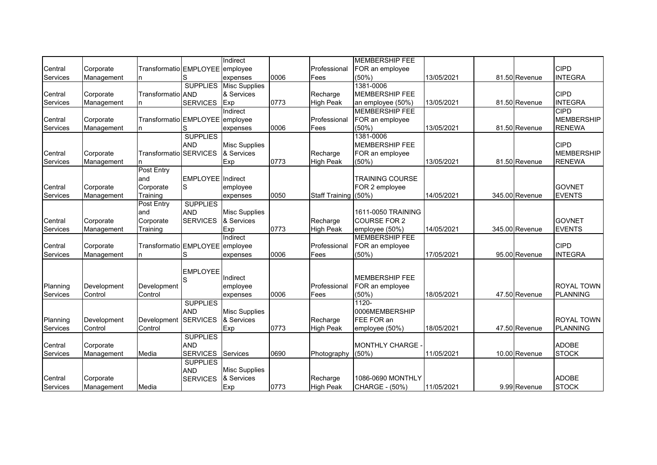|                 |             |                                 |                          | Indirect                      |      |                      | <b>MEMBERSHIP FEE</b>  |            |                |                   |
|-----------------|-------------|---------------------------------|--------------------------|-------------------------------|------|----------------------|------------------------|------------|----------------|-------------------|
| Central         | Corporate   | Transformatio EMPLOYEE employee |                          |                               |      | Professional         | FOR an employee        |            |                | <b>CIPD</b>       |
| Services        | Management  | n                               | S                        | expenses                      | 0006 | Fees                 | (50%)                  | 13/05/2021 | 81.50 Revenue  | <b>INTEGRA</b>    |
|                 |             |                                 |                          | <b>SUPPLIES</b> Misc Supplies |      |                      | 1381-0006              |            |                |                   |
| Central         | Corporate   | Transformatio AND               |                          | & Services                    |      | Recharge             | <b>MEMBERSHIP FEE</b>  |            |                | <b>CIPD</b>       |
| Services        | Management  |                                 | <b>SERVICES</b>          | Exp                           | 0773 | <b>High Peak</b>     | an employee (50%)      | 13/05/2021 | 81.50 Revenue  | <b>INTEGRA</b>    |
|                 |             |                                 |                          | Indirect                      |      |                      | <b>MEMBERSHIP FEE</b>  |            |                | <b>CIPD</b>       |
| Central         | Corporate   | Transformatio EMPLOYEE employee |                          |                               |      | Professional         | FOR an employee        |            |                | <b>MEMBERSHIP</b> |
| Services        | Management  | n                               | S                        | expenses                      | 0006 | Fees                 | $(50\%)$               | 13/05/2021 | 81.50 Revenue  | <b>RENEWA</b>     |
|                 |             |                                 | <b>SUPPLIES</b>          |                               |      |                      | 1381-0006              |            |                |                   |
|                 |             |                                 | <b>AND</b>               | <b>Misc Supplies</b>          |      |                      | <b>MEMBERSHIP FEE</b>  |            |                | <b>CIPD</b>       |
| Central         | Corporate   | Transformatio                   | <b>SERVICES</b>          | & Services                    |      | Recharge             | FOR an employee        |            |                | <b>MEMBERSHIP</b> |
| Services        | Management  |                                 |                          | Exp                           | 0773 | <b>High Peak</b>     | (50%)                  | 13/05/2021 | 81.50 Revenue  | <b>RENEWA</b>     |
|                 |             | <b>Post Entry</b>               |                          |                               |      |                      |                        |            |                |                   |
|                 |             | and                             | <b>EMPLOYEE</b> Indirect |                               |      |                      | <b>TRAINING COURSE</b> |            |                |                   |
| Central         | Corporate   | Corporate                       | S                        | employee                      |      |                      | FOR 2 employee         |            |                | <b>GOVNET</b>     |
| Services        | Management  | Training                        |                          | expenses                      | 0050 | Staff Training (50%) |                        | 14/05/2021 | 345.00 Revenue | <b>EVENTS</b>     |
|                 |             | Post Entry                      | <b>SUPPLIES</b>          |                               |      |                      |                        |            |                |                   |
|                 |             | land                            | <b>AND</b>               | <b>Misc Supplies</b>          |      |                      | 1611-0050 TRAINING     |            |                |                   |
| Central         | Corporate   | Corporate                       | <b>SERVICES</b>          | & Services                    |      | Recharge             | <b>COURSE FOR 2</b>    |            |                | <b>GOVNET</b>     |
| Services        | Management  | Training                        |                          | Exp                           | 0773 | <b>High Peak</b>     | employee (50%)         | 14/05/2021 | 345.00 Revenue | <b>EVENTS</b>     |
|                 |             |                                 |                          | Indirect                      |      |                      | <b>MEMBERSHIP FEE</b>  |            |                |                   |
| Central         | Corporate   | Transformatio EMPLOYEE employee |                          |                               |      | Professional         | FOR an employee        |            |                | <b>CIPD</b>       |
| Services        | Management  | n                               | S                        | expenses                      | 0006 | Fees                 | $(50\%)$               | 17/05/2021 | 95.00 Revenue  | <b>INTEGRA</b>    |
|                 |             |                                 |                          |                               |      |                      |                        |            |                |                   |
|                 |             |                                 | <b>EMPLOYEE</b>          | Indirect                      |      |                      | <b>MEMBERSHIP FEE</b>  |            |                |                   |
| Planning        | Development | Development                     | S                        | employee                      |      | Professional         | FOR an employee        |            |                | <b>ROYAL TOWN</b> |
| Services        | Control     | Control                         |                          | expenses                      | 0006 | Fees                 | (50%)                  | 18/05/2021 | 47.50 Revenue  | <b>PLANNING</b>   |
|                 |             |                                 | <b>SUPPLIES</b>          |                               |      |                      | $1120 -$               |            |                |                   |
|                 |             |                                 | <b>AND</b>               | <b>Misc Supplies</b>          |      |                      | 0006MEMBERSHIP         |            |                |                   |
| Planning        | Development | Development                     | <b>SERVICES</b>          | & Services                    |      | Recharge             | FEE FOR an             |            |                | <b>ROYAL TOWN</b> |
| Services        | Control     | Control                         |                          | Exp                           | 0773 | <b>High Peak</b>     | employee (50%)         | 18/05/2021 | 47.50 Revenue  | PLANNING          |
|                 |             |                                 | <b>SUPPLIES</b>          |                               |      |                      |                        |            |                |                   |
| Central         | Corporate   |                                 | <b>AND</b>               |                               |      |                      | <b>MONTHLY CHARGE</b>  |            |                | <b>ADOBE</b>      |
| Services        | Management  | Media                           | <b>SERVICES</b>          | Services                      | 0690 | Photography          | (50%                   | 11/05/2021 | 10.00 Revenue  | <b>STOCK</b>      |
|                 |             |                                 | <b>SUPPLIES</b>          |                               |      |                      |                        |            |                |                   |
|                 |             |                                 | <b>AND</b>               | <b>Misc Supplies</b>          |      |                      |                        |            |                |                   |
| Central         | Corporate   |                                 | <b>SERVICES</b>          | & Services                    |      | Recharge             | 1086-0690 MONTHLY      |            |                | <b>ADOBE</b>      |
| <b>Services</b> | Management  | Media                           |                          | Exp                           | 0773 | <b>High Peak</b>     | CHARGE - (50%)         | 11/05/2021 | 9.99 Revenue   | <b>STOCK</b>      |